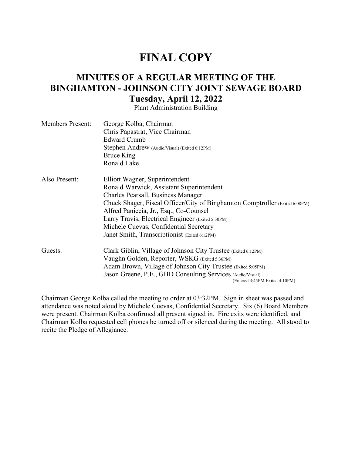# **FINAL COPY**

# **MINUTES OF A REGULAR MEETING OF THE BINGHAMTON - JOHNSON CITY JOINT SEWAGE BOARD Tuesday, April 12, 2022**

Plant Administration Building

| <b>Members Present:</b> | George Kolba, Chairman<br>Chris Papastrat, Vice Chairman<br><b>Edward Crumb</b><br>Stephen Andrew (Audio/Visual) (Exited 6:12PM)<br>Bruce King<br>Ronald Lake                                                                                                                                                                                                                             |
|-------------------------|-------------------------------------------------------------------------------------------------------------------------------------------------------------------------------------------------------------------------------------------------------------------------------------------------------------------------------------------------------------------------------------------|
| Also Present:           | Elliott Wagner, Superintendent<br>Ronald Warwick, Assistant Superintendent<br>Charles Pearsall, Business Manager<br>Chuck Shager, Fiscal Officer/City of Binghamton Comptroller (Exited 6:08PM)<br>Alfred Paniccia, Jr., Esq., Co-Counsel<br>Larry Travis, Electrical Engineer (Exited 5:30PM)<br>Michele Cuevas, Confidential Secretary<br>Janet Smith, Transcriptionist (Exited 6:12PM) |
| Guests:                 | Clark Giblin, Village of Johnson City Trustee (Exited 6:12PM)<br>Vaughn Golden, Reporter, WSKG (Exited 5:36PM)<br>Adam Brown, Village of Johnson City Trustee (Exited 5:05PM)<br>Jason Greene, P.E., GHD Consulting Services (Audio/Visual)<br>(Entered 3:45PM Exited 4:10PM)                                                                                                             |

Chairman George Kolba called the meeting to order at 03:32PM. Sign in sheet was passed and attendance was noted aloud by Michele Cuevas, Confidential Secretary. Six (6) Board Members were present. Chairman Kolba confirmed all present signed in. Fire exits were identified, and Chairman Kolba requested cell phones be turned off or silenced during the meeting. All stood to recite the Pledge of Allegiance.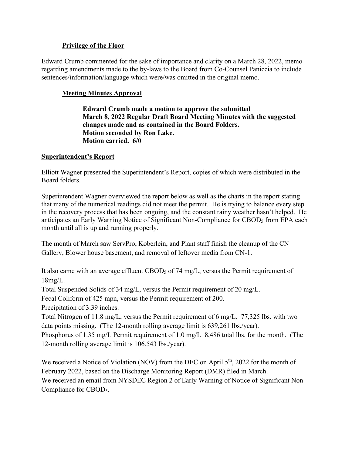#### **Privilege of the Floor**

Edward Crumb commented for the sake of importance and clarity on a March 28, 2022, memo regarding amendments made to the by-laws to the Board from Co-Counsel Paniccia to include sentences/information/language which were/was omitted in the original memo.

## **Meeting Minutes Approval**

**Edward Crumb made a motion to approve the submitted March 8, 2022 Regular Draft Board Meeting Minutes with the suggested changes made and as contained in the Board Folders. Motion seconded by Ron Lake. Motion carried. 6/0** 

## **Superintendent's Report**

Elliott Wagner presented the Superintendent's Report, copies of which were distributed in the Board folders.

Superintendent Wagner overviewed the report below as well as the charts in the report stating that many of the numerical readings did not meet the permit. He is trying to balance every step in the recovery process that has been ongoing, and the constant rainy weather hasn't helped. He anticipates an Early Warning Notice of Significant Non-Compliance for CBOD<sub>5</sub> from EPA each month until all is up and running properly.

The month of March saw ServPro, Koberlein, and Plant staff finish the cleanup of the CN Gallery, Blower house basement, and removal of leftover media from CN-1.

It also came with an average effluent CBOD<sub>5</sub> of 74 mg/L, versus the Permit requirement of 18mg/L.

Total Suspended Solids of 34 mg/L, versus the Permit requirement of 20 mg/L.

Fecal Coliform of 425 mpn, versus the Permit requirement of 200.

Precipitation of 3.39 inches.

Total Nitrogen of 11.8 mg/L, versus the Permit requirement of 6 mg/L. 77,325 lbs. with two data points missing. (The 12-month rolling average limit is 639,261 lbs./year).

Phosphorus of 1.35 mg/L Permit requirement of 1.0 mg/L 8,486 total lbs. for the month. (The 12-month rolling average limit is 106,543 lbs./year).

We received a Notice of Violation (NOV) from the DEC on April  $5<sup>th</sup>$ , 2022 for the month of February 2022, based on the Discharge Monitoring Report (DMR) filed in March. We received an email from NYSDEC Region 2 of Early Warning of Notice of Significant Non-Compliance for CBOD5.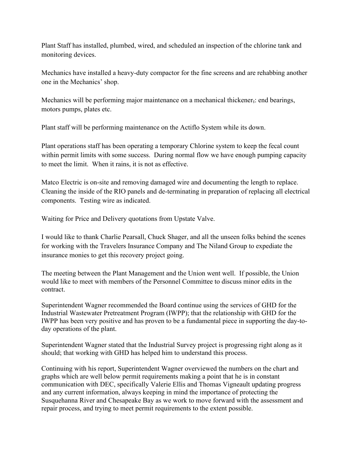Plant Staff has installed, plumbed, wired, and scheduled an inspection of the chlorine tank and monitoring devices.

Mechanics have installed a heavy-duty compactor for the fine screens and are rehabbing another one in the Mechanics' shop.

Mechanics will be performing major maintenance on a mechanical thickener, end bearings, motors pumps, plates etc.

Plant staff will be performing maintenance on the Actiflo System while its down.

Plant operations staff has been operating a temporary Chlorine system to keep the fecal count within permit limits with some success. During normal flow we have enough pumping capacity to meet the limit. When it rains, it is not as effective.

Matco Electric is on-site and removing damaged wire and documenting the length to replace. Cleaning the inside of the RIO panels and de-terminating in preparation of replacing all electrical components. Testing wire as indicated.

Waiting for Price and Delivery quotations from Upstate Valve.

I would like to thank Charlie Pearsall, Chuck Shager, and all the unseen folks behind the scenes for working with the Travelers Insurance Company and The Niland Group to expediate the insurance monies to get this recovery project going.

The meeting between the Plant Management and the Union went well. If possible, the Union would like to meet with members of the Personnel Committee to discuss minor edits in the contract.

Superintendent Wagner recommended the Board continue using the services of GHD for the Industrial Wastewater Pretreatment Program (IWPP); that the relationship with GHD for the IWPP has been very positive and has proven to be a fundamental piece in supporting the day-today operations of the plant.

Superintendent Wagner stated that the Industrial Survey project is progressing right along as it should; that working with GHD has helped him to understand this process.

Continuing with his report, Superintendent Wagner overviewed the numbers on the chart and graphs which are well below permit requirements making a point that he is in constant communication with DEC, specifically Valerie Ellis and Thomas Vigneault updating progress and any current information, always keeping in mind the importance of protecting the Susquehanna River and Chesapeake Bay as we work to move forward with the assessment and repair process, and trying to meet permit requirements to the extent possible.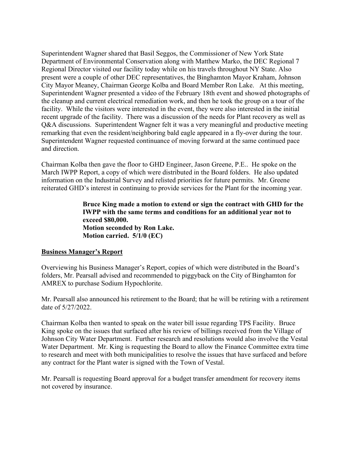Superintendent Wagner shared that Basil Seggos, the Commissioner of New York State Department of Environmental Conservation along with Matthew Marko, the DEC Regional 7 Regional Director visited our facility today while on his travels throughout NY State. Also present were a couple of other DEC representatives, the Binghamton Mayor Kraham, Johnson City Mayor Meaney, Chairman George Kolba and Board Member Ron Lake. At this meeting, Superintendent Wagner presented a video of the February 18th event and showed photographs of the cleanup and current electrical remediation work, and then he took the group on a tour of the facility. While the visitors were interested in the event, they were also interested in the initial recent upgrade of the facility. There was a discussion of the needs for Plant recovery as well as Q&A discussions. Superintendent Wagner felt it was a very meaningful and productive meeting remarking that even the resident/neighboring bald eagle appeared in a fly-over during the tour. Superintendent Wagner requested continuance of moving forward at the same continued pace and direction.

Chairman Kolba then gave the floor to GHD Engineer, Jason Greene, P.E.. He spoke on the March IWPP Report, a copy of which were distributed in the Board folders. He also updated information on the Industrial Survey and relisted priorities for future permits. Mr. Greene reiterated GHD's interest in continuing to provide services for the Plant for the incoming year.

> **Bruce King made a motion to extend or sign the contract with GHD for the IWPP with the same terms and conditions for an additional year not to exceed \$80,000. Motion seconded by Ron Lake. Motion carried. 5/1/0 (EC)**

#### **Business Manager's Report**

Overviewing his Business Manager's Report, copies of which were distributed in the Board's folders, Mr. Pearsall advised and recommended to piggyback on the City of Binghamton for AMREX to purchase Sodium Hypochlorite.

Mr. Pearsall also announced his retirement to the Board; that he will be retiring with a retirement date of 5/27/2022.

Chairman Kolba then wanted to speak on the water bill issue regarding TPS Facility. Bruce King spoke on the issues that surfaced after his review of billings received from the Village of Johnson City Water Department. Further research and resolutions would also involve the Vestal Water Department. Mr. King is requesting the Board to allow the Finance Committee extra time to research and meet with both municipalities to resolve the issues that have surfaced and before any contract for the Plant water is signed with the Town of Vestal.

Mr. Pearsall is requesting Board approval for a budget transfer amendment for recovery items not covered by insurance.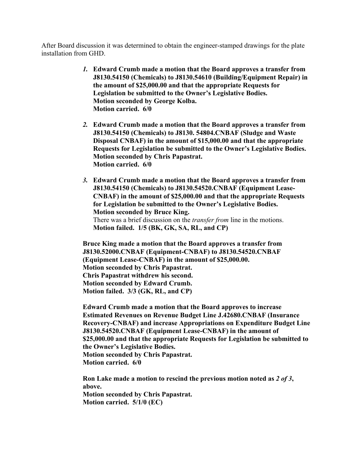After Board discussion it was determined to obtain the engineer-stamped drawings for the plate installation from GHD.

- *1.* **Edward Crumb made a motion that the Board approves a transfer from J8130.54150 (Chemicals) to J8130.54610 (Building/Equipment Repair) in the amount of \$25,000.00 and that the appropriate Requests for Legislation be submitted to the Owner's Legislative Bodies. Motion seconded by George Kolba. Motion carried. 6/0**
- *2.* **Edward Crumb made a motion that the Board approves a transfer from J8130.54150 (Chemicals) to J8130. 54804.CNBAF (Sludge and Waste Disposal CNBAF) in the amount of \$15,000.00 and that the appropriate Requests for Legislation be submitted to the Owner's Legislative Bodies. Motion seconded by Chris Papastrat. Motion carried. 6/0**
- *3.* **Edward Crumb made a motion that the Board approves a transfer from J8130.54150 (Chemicals) to J8130.54520.CNBAF (Equipment Lease-CNBAF) in the amount of \$25,000.00 and that the appropriate Requests for Legislation be submitted to the Owner's Legislative Bodies. Motion seconded by Bruce King.** There was a brief discussion on the *transfer from* line in the motions. **Motion failed. 1/5 (BK, GK, SA, RL, and CP)**

**Bruce King made a motion that the Board approves a transfer from J8130.52000.CNBAF (Equipment-CNBAF) to J8130.54520.CNBAF (Equipment Lease-CNBAF) in the amount of \$25,000.00. Motion seconded by Chris Papastrat. Chris Papastrat withdrew his second. Motion seconded by Edward Crumb. Motion failed. 3/3 (GK, RL, and CP)**

**Edward Crumb made a motion that the Board approves to increase Estimated Revenues on Revenue Budget Line J.42680.CNBAF (Insurance Recovery-CNBAF) and increase Appropriations on Expenditure Budget Line J8130.54520.CNBAF (Equipment Lease-CNBAF) in the amount of \$25,000.00 and that the appropriate Requests for Legislation be submitted to the Owner's Legislative Bodies. Motion seconded by Chris Papastrat. Motion carried. 6/0**

**Ron Lake made a motion to rescind the previous motion noted as** *2 of 3***, above. Motion seconded by Chris Papastrat. Motion carried. 5/1/0 (EC)**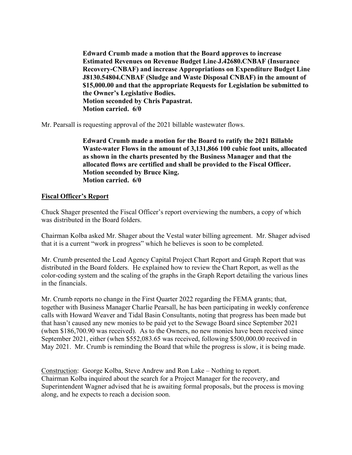**Edward Crumb made a motion that the Board approves to increase Estimated Revenues on Revenue Budget Line J.42680.CNBAF (Insurance Recovery-CNBAF) and increase Appropriations on Expenditure Budget Line J8130.54804.CNBAF (Sludge and Waste Disposal CNBAF) in the amount of \$15,000.00 and that the appropriate Requests for Legislation be submitted to the Owner's Legislative Bodies. Motion seconded by Chris Papastrat. Motion carried. 6/0**

Mr. Pearsall is requesting approval of the 2021 billable wastewater flows.

**Edward Crumb made a motion for the Board to ratify the 2021 Billable Waste water Flows in the amount of 3,131,866 100 cubic foot units, allocated as shown in the charts presented by the Business Manager and that the allocated flows are certified and shall be provided to the Fiscal Officer. Motion seconded by Bruce King. Motion carried. 6/0** 

#### **Fiscal Officer's Report**

Chuck Shager presented the Fiscal Officer's report overviewing the numbers, a copy of which was distributed in the Board folders.

Chairman Kolba asked Mr. Shager about the Vestal water billing agreement. Mr. Shager advised that it is a current "work in progress" which he believes is soon to be completed.

Mr. Crumb presented the Lead Agency Capital Project Chart Report and Graph Report that was distributed in the Board folders. He explained how to review the Chart Report, as well as the color-coding system and the scaling of the graphs in the Graph Report detailing the various lines in the financials.

Mr. Crumb reports no change in the First Quarter 2022 regarding the FEMA grants; that, together with Business Manager Charlie Pearsall, he has been participating in weekly conference calls with Howard Weaver and Tidal Basin Consultants, noting that progress has been made but that hasn't caused any new monies to be paid yet to the Sewage Board since September 2021 (when \$186,700.90 was received). As to the Owners, no new monies have been received since September 2021, either (when \$552,083.65 was received, following \$500,000.00 received in May 2021. Mr. Crumb is reminding the Board that while the progress is slow, it is being made.

Construction: George Kolba, Steve Andrew and Ron Lake – Nothing to report. Chairman Kolba inquired about the search for a Project Manager for the recovery, and Superintendent Wagner advised that he is awaiting formal proposals, but the process is moving along, and he expects to reach a decision soon.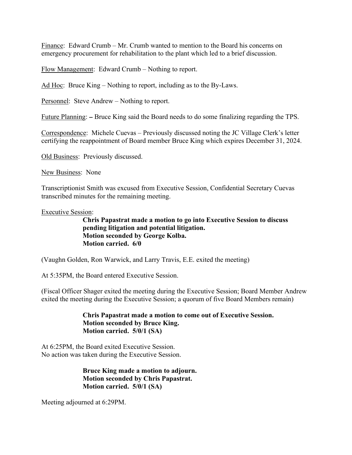Finance: Edward Crumb – Mr. Crumb wanted to mention to the Board his concerns on emergency procurement for rehabilitation to the plant which led to a brief discussion.

Flow Management: Edward Crumb – Nothing to report.

Ad Hoc: Bruce King – Nothing to report, including as to the By-Laws.

Personnel: Steve Andrew – Nothing to report.

Future Planning: – Bruce King said the Board needs to do some finalizing regarding the TPS.

Correspondence: Michele Cuevas – Previously discussed noting the JC Village Clerk's letter certifying the reappointment of Board member Bruce King which expires December 31, 2024.

Old Business: Previously discussed.

New Business: None

Transcriptionist Smith was excused from Executive Session, Confidential Secretary Cuevas transcribed minutes for the remaining meeting.

Executive Session:

**Chris Papastrat made a motion to go into Executive Session to discuss pending litigation and potential litigation. Motion seconded by George Kolba. Motion carried. 6/0** 

(Vaughn Golden, Ron Warwick, and Larry Travis, E.E. exited the meeting)

At 5:35PM, the Board entered Executive Session.

(Fiscal Officer Shager exited the meeting during the Executive Session; Board Member Andrew exited the meeting during the Executive Session; a quorum of five Board Members remain)

#### **Chris Papastrat made a motion to come out of Executive Session. Motion seconded by Bruce King. Motion carried. 5/0/1 (SA)**

At 6:25PM, the Board exited Executive Session. No action was taken during the Executive Session.

> **Bruce King made a motion to adjourn. Motion seconded by Chris Papastrat. Motion carried. 5/0/1 (SA)**

Meeting adjourned at 6:29PM.